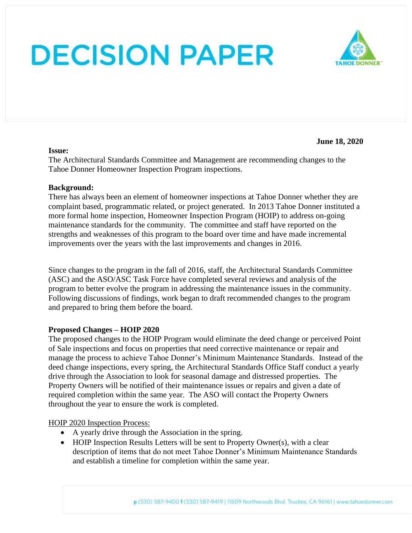#### **Issue:**

**June 18, 2020**

The Architectural Standards Committee and Management are recommending changes to the Tahoe Donner Homeowner Inspection Program inspections.

### **Background:**

There has always been an element of homeowner inspections at Tahoe Donner whether they are complaint based, programmatic related, or project generated. In 2013 Tahoe Donner instituted a more formal home inspection, Homeowner Inspection Program (HOIP) to address on-going maintenance standards for the community. The committee and staff have reported on the strengths and weaknesses of this program to the board over time and have made incremental improvements over the years with the last improvements and changes in 2016.

Since changes to the program in the fall of 2016, staff, the Architectural Standards Committee (ASC) and the ASO/ASC Task Force have completed several reviews and analysis of the program to better evolve the program in addressing the maintenance issues in the community. Following discussions of findings, work began to draft recommended changes to the program and prepared to bring them before the board.

### **Proposed Changes – HOIP 2020**

The proposed changes to the HOIP Program would eliminate the deed change or perceived Point of Sale inspections and focus on properties that need corrective maintenance or repair and manage the process to achieve Tahoe Donner's Minimum Maintenance Standards. Instead of the deed change inspections, every spring, the Architectural Standards Office Staff conduct a yearly drive through the Association to look for seasonal damage and distressed properties. The Property Owners will be notified of their maintenance issues or repairs and given a date of required completion within the same year. The ASO will contact the Property Owners throughout the year to ensure the work is completed.

### HOIP 2020 Inspection Process:

- A yearly drive through the Association in the spring.
- HOIP Inspection Results Letters will be sent to Property Owner(s), with a clear description of items that do not meet Tahoe Donner's Minimum Maintenance Standards and establish a timeline for completion within the same year.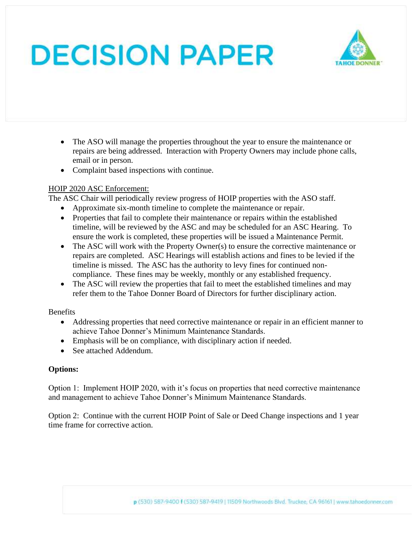

- The ASO will manage the properties throughout the year to ensure the maintenance or repairs are being addressed. Interaction with Property Owners may include phone calls, email or in person.
- Complaint based inspections with continue.

## HOIP 2020 ASC Enforcement:

The ASC Chair will periodically review progress of HOIP properties with the ASO staff.

- Approximate six-month timeline to complete the maintenance or repair.
- Properties that fail to complete their maintenance or repairs within the established timeline, will be reviewed by the ASC and may be scheduled for an ASC Hearing. To ensure the work is completed, these properties will be issued a Maintenance Permit.
- The ASC will work with the Property Owner(s) to ensure the corrective maintenance or repairs are completed. ASC Hearings will establish actions and fines to be levied if the timeline is missed. The ASC has the authority to levy fines for continued noncompliance. These fines may be weekly, monthly or any established frequency.
- The ASC will review the properties that fail to meet the established timelines and may refer them to the Tahoe Donner Board of Directors for further disciplinary action.

**Benefits** 

- Addressing properties that need corrective maintenance or repair in an efficient manner to achieve Tahoe Donner's Minimum Maintenance Standards.
- Emphasis will be on compliance, with disciplinary action if needed.
- See attached Addendum.

# **Options:**

Option 1: Implement HOIP 2020, with it's focus on properties that need corrective maintenance and management to achieve Tahoe Donner's Minimum Maintenance Standards.

Option 2: Continue with the current HOIP Point of Sale or Deed Change inspections and 1 year time frame for corrective action.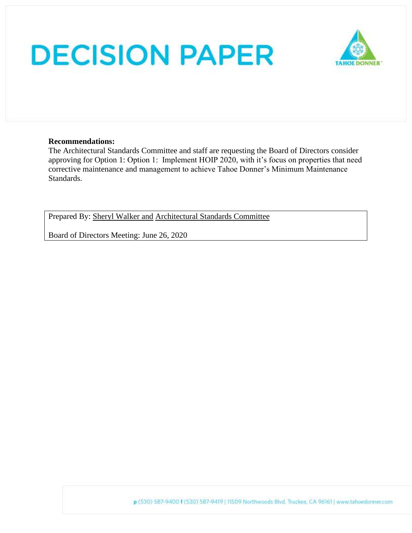

### **Recommendations:**

The Architectural Standards Committee and staff are requesting the Board of Directors consider approving for Option 1: Option 1: Implement HOIP 2020, with it's focus on properties that need corrective maintenance and management to achieve Tahoe Donner's Minimum Maintenance Standards.

Prepared By: Sheryl Walker and Architectural Standards Committee

Board of Directors Meeting: June 26, 2020